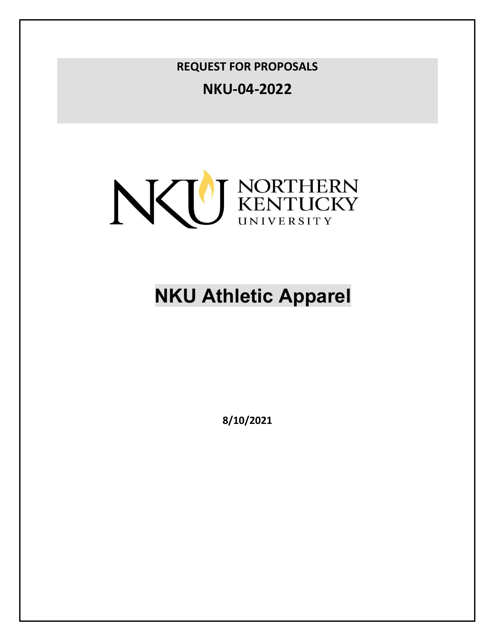**REQUEST FOR PROPOSALS**

**NKU-04-2022**



# **NKU Athletic Apparel**

**8/10/2021**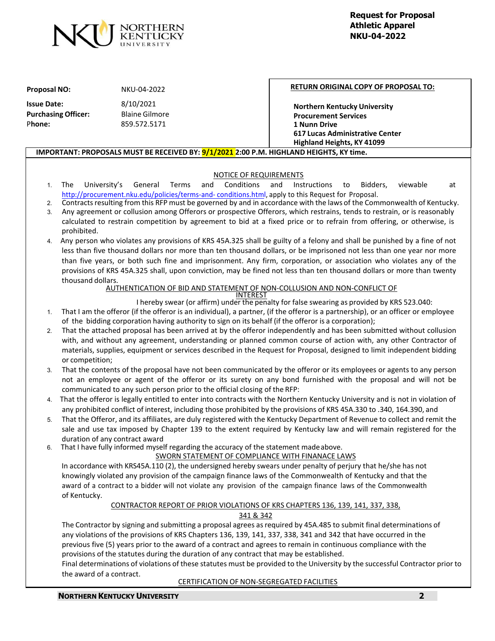

#### **Proposal NO:** NKU-04-2022

**Issue Date:** 8/10/2021 **Purchasing Officer:** Blaine Gilmore P**hone:** 859.572.5171

#### **RETURN ORIGINAL COPY OF PROPOSAL TO:**

**Northern Kentucky University Procurement Services 1 Nunn Drive 617 Lucas Administrative Center Highland Heights, KY 41099**

#### **IMPORTANT: PROPOSALS MUST BE RECEIVED BY: 9/1/2021 2:00 P.M. HIGHLAND HEIGHTS, KY time.**

# NOTICE OF REQUIREMENTS

- 1. The University's General Terms and Conditions and Instructions to Bidders, viewable at [http://procurement.nku.edu/policies/terms-and-](http://procurement.nku.edu/policies/terms-and-conditions.html) [conditions.html,](http://procurement.nku.edu/policies/terms-and-conditions.html) apply to this Request for Proposal.
- 2. Contractsresulting from this RFP must be governed by and in accordance with the laws of the Commonwealth of Kentucky. 3. Any agreement or collusion among Offerors or prospective Offerors, which restrains, tends to restrain, or is reasonably
- calculated to restrain competition by agreement to bid at a fixed price or to refrain from offering, or otherwise, is prohibited.
- 4. Any person who violates any provisions of KRS 45A.325 shall be guilty of a felony and shall be punished by a fine of not less than five thousand dollars nor more than ten thousand dollars, or be imprisoned not less than one year nor more than five years, or both such fine and imprisonment. Any firm, corporation, or association who violates any of the provisions of KRS 45A.325 shall, upon conviction, may be fined not less than ten thousand dollars or more than twenty thousand dollars.

#### AUTHENTICATION OF BID AND STATEMENT OF NON-COLLUSION AND NON-CONFLICT OF

INTEREST

I hereby swear (or affirm) under the penalty for false swearing as provided by KRS 523.040:

- 1. That I am the offeror (if the offeror is an individual), a partner, (if the offeror is a partnership), or an officer or employee of the bidding corporation having authority to sign on its behalf (if the offeror is a corporation);
- 2. That the attached proposal has been arrived at by the offeror independently and has been submitted without collusion with, and without any agreement, understanding or planned common course of action with, any other Contractor of materials, supplies, equipment or services described in the Request for Proposal, designed to limit independent bidding or competition;
- 3. That the contents of the proposal have not been communicated by the offeror or its employees or agents to any person not an employee or agent of the offeror or its surety on any bond furnished with the proposal and will not be communicated to any such person prior to the official closing of the RFP:
- 4. That the offeror is legally entitled to enter into contracts with the Northern Kentucky University and is not in violation of any prohibited conflict of interest, including those prohibited by the provisions of KRS 45A.330 to .340, 164.390, and
- 5. That the Offeror, and its affiliates, are duly registered with the Kentucky Department of Revenue to collect and remit the sale and use tax imposed by Chapter 139 to the extent required by Kentucky law and will remain registered for the duration of any contract award
- 6. That I have fully informed myself regarding the accuracy of the statement madeabove.

# SWORN STATEMENT OF COMPLIANCE WITH FINANACE LAWS

In accordance with KRS45A.110 (2), the undersigned hereby swears under penalty of perjury that he/she has not knowingly violated any provision of the campaign finance laws of the Commonwealth of Kentucky and that the award of a contract to a bidder will not violate any provision of the campaign finance laws of the Commonwealth of Kentucky.

# CONTRACTOR REPORT OF PRIOR VIOLATIONS OF KRS CHAPTERS 136, 139, 141, 337, 338,

#### 341 & 342

The Contractor by signing and submitting a proposal agrees as required by 45A.485 to submit final determinations of any violations of the provisions of KRS Chapters 136, 139, 141, 337, 338, 341 and 342 that have occurred in the previous five (5) years prior to the award of a contract and agrees to remain in continuous compliance with the provisions of the statutes during the duration of any contract that may be established.

Final determinations of violations of these statutes must be provided to the University by the successful Contractor prior to the award of a contract.

#### CERTIFICATION OF NON-SEGREGATED FACILITIES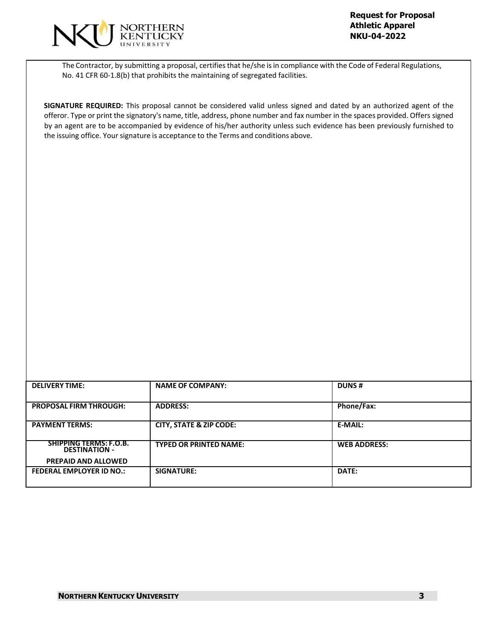

The Contractor, by submitting a proposal, certifiesthat he/she isin compliance with the Code of Federal Regulations, No. 41 CFR 60-1.8(b) that prohibits the maintaining of segregated facilities.

**SIGNATURE REQUIRED:** This proposal cannot be considered valid unless signed and dated by an authorized agent of the offeror. Type or print the signatory's name, title, address, phone number and fax number in the spaces provided. Offers signed by an agent are to be accompanied by evidence of his/her authority unless such evidence has been previously furnished to the issuing office. Your signature is acceptance to the Terms and conditions above.

| <b>DELIVERY TIME:</b>                          | <b>NAME OF COMPANY:</b>            | <b>DUNS#</b>        |
|------------------------------------------------|------------------------------------|---------------------|
| <b>PROPOSAL FIRM THROUGH:</b>                  | <b>ADDRESS:</b>                    | Phone/Fax:          |
| <b>PAYMENT TERMS:</b>                          | <b>CITY, STATE &amp; ZIP CODE:</b> | <b>E-MAIL:</b>      |
| SHIPPING TERMS: F.O.B.<br><b>DESTINATION -</b> | <b>TYPED OR PRINTED NAME:</b>      | <b>WEB ADDRESS:</b> |
| <b>PREPAID AND ALLOWED</b>                     |                                    |                     |
| <b>FEDERAL EMPLOYER ID NO.:</b>                | SIGNATURE:                         | <b>DATE:</b>        |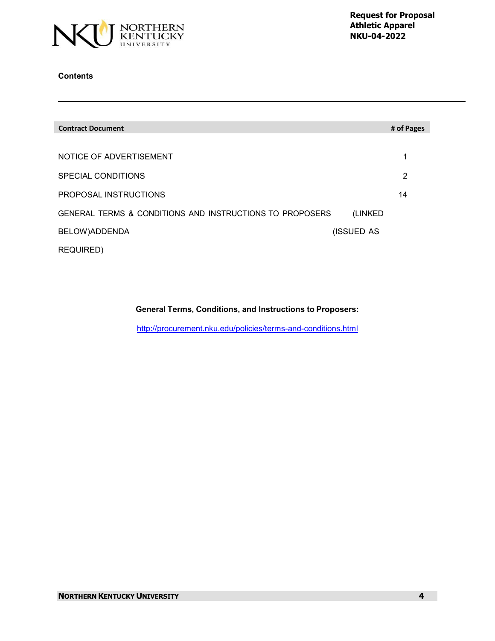

# **Contents**

| <b>Contract Document</b>                                 | # of Pages |
|----------------------------------------------------------|------------|
|                                                          |            |
| NOTICE OF ADVERTISEMENT                                  | 1          |
| SPECIAL CONDITIONS                                       | 2          |
| PROPOSAL INSTRUCTIONS                                    | 14         |
| GENERAL TERMS & CONDITIONS AND INSTRUCTIONS TO PROPOSERS | (LINKED)   |
| BELOW)ADDENDA                                            | (ISSUED AS |
| <b>REQUIRED)</b>                                         |            |

# **General Terms, Conditions, and Instructions to Proposers:**

<http://procurement.nku.edu/policies/terms-and-conditions.html>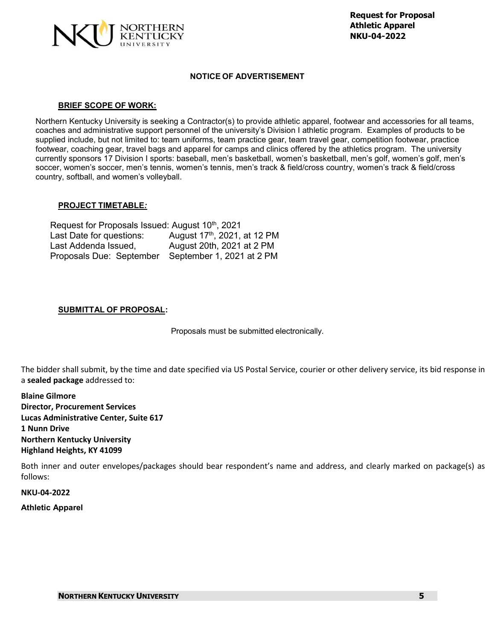

# **NOTICE OF ADVERTISEMENT**

#### **BRIEF SCOPE OF WORK:**

Northern Kentucky University is seeking a Contractor(s) to provide athletic apparel, footwear and accessories for all teams, coaches and administrative support personnel of the university's Division I athletic program. Examples of products to be supplied include, but not limited to: team uniforms, team practice gear, team travel gear, competition footwear, practice footwear, coaching gear, travel bags and apparel for camps and clinics offered by the athletics program. The university currently sponsors 17 Division I sports: baseball, men's basketball, women's basketball, men's golf, women's golf, men's soccer, women's soccer, men's tennis, women's tennis, men's track & field/cross country, women's track & field/cross country, softball, and women's volleyball.

# **PROJECT TIMETABLE***:*

| Request for Proposals Issued: August 10 <sup>th</sup> , 2021 |                                          |  |  |  |
|--------------------------------------------------------------|------------------------------------------|--|--|--|
| Last Date for questions:                                     | August 17 <sup>th</sup> , 2021, at 12 PM |  |  |  |
| Last Addenda Issued,                                         | August 20th, 2021 at 2 PM                |  |  |  |
| Proposals Due: September                                     | September 1, 2021 at 2 PM                |  |  |  |

# **SUBMITTAL OF PROPOSAL:**

Proposals must be submitted electronically.

The bidder shall submit, by the time and date specified via US Postal Service, courier or other delivery service, its bid response in a **sealed package** addressed to:

**Blaine Gilmore Director, Procurement Services Lucas Administrative Center, Suite 617 1 Nunn Drive Northern Kentucky University Highland Heights, KY 41099**

Both inner and outer envelopes/packages should bear respondent's name and address, and clearly marked on package(s) as follows:

**NKU-04-2022**

**Athletic Apparel**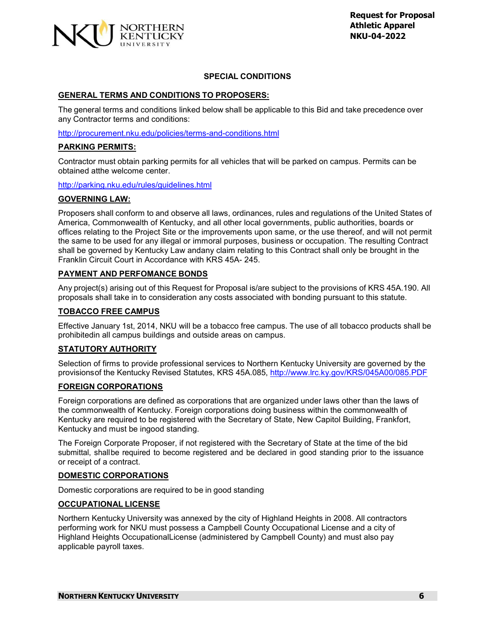

# **SPECIAL CONDITIONS**

# **GENERAL TERMS AND CONDITIONS TO PROPOSERS:**

The general terms and conditions linked below shall be applicable to this Bid and take precedence over any Contractor terms and conditions:

<http://procurement.nku.edu/policies/terms-and-conditions.html>

# **PARKING PERMITS:**

Contractor must obtain parking permits for all vehicles that will be parked on campus. Permits can be obtained atthe welcome center.

<http://parking.nku.edu/rules/guidelines.html>

# **GOVERNING LAW:**

Proposers shall conform to and observe all laws, ordinances, rules and regulations of the United States of America, Commonwealth of Kentucky, and all other local governments, public authorities, boards or offices relating to the Project Site or the improvements upon same, or the use thereof, and will not permit the same to be used for any illegal or immoral purposes, business or occupation. The resulting Contract shall be governed by Kentucky Law andany claim relating to this Contract shall only be brought in the Franklin Circuit Court in Accordance with KRS 45A- 245.

# **PAYMENT AND PERFOMANCE BONDS**

Any project(s) arising out of this Request for Proposal is/are subject to the provisions of KRS 45A.190. All proposals shall take in to consideration any costs associated with bonding pursuant to this statute.

# **TOBACCO FREE CAMPUS**

Effective January 1st, 2014, NKU will be a tobacco free campus. The use of all tobacco products shall be prohibitedin all campus buildings and outside areas on campus.

# **STATUTORY AUTHORITY**

Selection of firms to provide professional services to Northern Kentucky University are governed by the provisionsof the Kentucky Revised Statutes, KRS 45A.085, <http://www.lrc.ky.gov/KRS/045A00/085.PDF>

#### **FOREIGN CORPORATIONS**

Foreign corporations are defined as corporations that are organized under laws other than the laws of the commonwealth of Kentucky. Foreign corporations doing business within the commonwealth of Kentucky are required to be registered with the Secretary of State, New Capitol Building, Frankfort, Kentucky and must be ingood standing.

The Foreign Corporate Proposer, if not registered with the Secretary of State at the time of the bid submittal, shallbe required to become registered and be declared in good standing prior to the issuance or receipt of a contract.

#### **DOMESTIC CORPORATIONS**

Domestic corporations are required to be in good standing

#### **OCCUPATIONAL LICENSE**

Northern Kentucky University was annexed by the city of Highland Heights in 2008. All contractors performing work for NKU must possess a Campbell County Occupational License and a city of Highland Heights OccupationalLicense (administered by Campbell County) and must also pay applicable payroll taxes.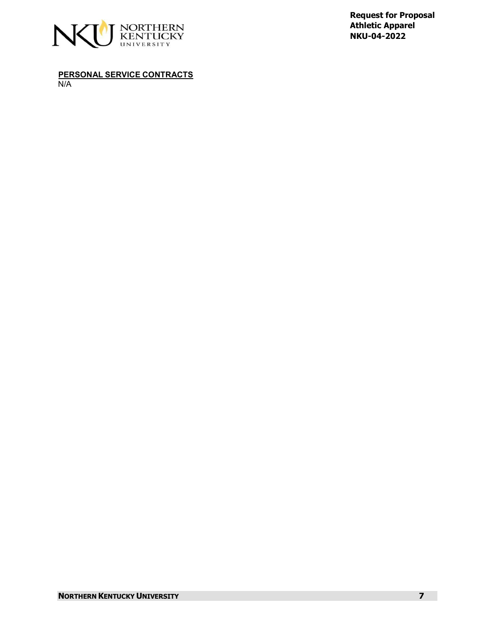

**PERSONAL SERVICE CONTRACTS** N/A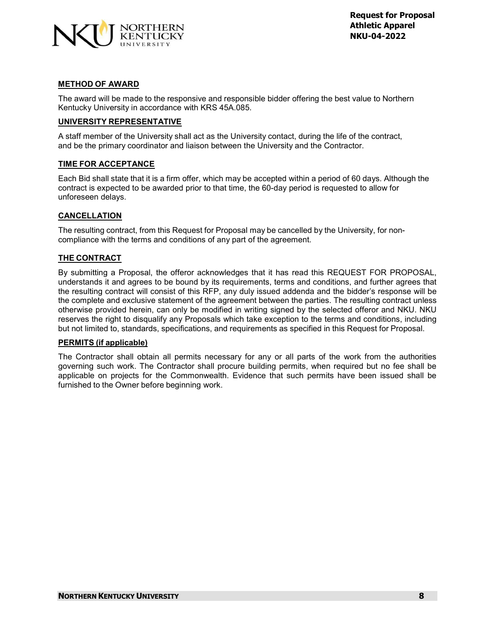

# **METHOD OF AWARD**

The award will be made to the responsive and responsible bidder offering the best value to Northern Kentucky University in accordance with KRS 45A.085.

# **UNIVERSITY REPRESENTATIVE**

A staff member of the University shall act as the University contact, during the life of the contract, and be the primary coordinator and liaison between the University and the Contractor.

# **TIME FOR ACCEPTANCE**

Each Bid shall state that it is a firm offer, which may be accepted within a period of 60 days. Although the contract is expected to be awarded prior to that time, the 60-day period is requested to allow for unforeseen delays.

# **CANCELLATION**

The resulting contract, from this Request for Proposal may be cancelled by the University, for noncompliance with the terms and conditions of any part of the agreement.

# **THE CONTRACT**

By submitting a Proposal, the offeror acknowledges that it has read this REQUEST FOR PROPOSAL, understands it and agrees to be bound by its requirements, terms and conditions, and further agrees that the resulting contract will consist of this RFP, any duly issued addenda and the bidder's response will be the complete and exclusive statement of the agreement between the parties. The resulting contract unless otherwise provided herein, can only be modified in writing signed by the selected offeror and NKU. NKU reserves the right to disqualify any Proposals which take exception to the terms and conditions, including but not limited to, standards, specifications, and requirements as specified in this Request for Proposal.

#### **PERMITS (if applicable)**

The Contractor shall obtain all permits necessary for any or all parts of the work from the authorities governing such work. The Contractor shall procure building permits, when required but no fee shall be applicable on projects for the Commonwealth. Evidence that such permits have been issued shall be furnished to the Owner before beginning work.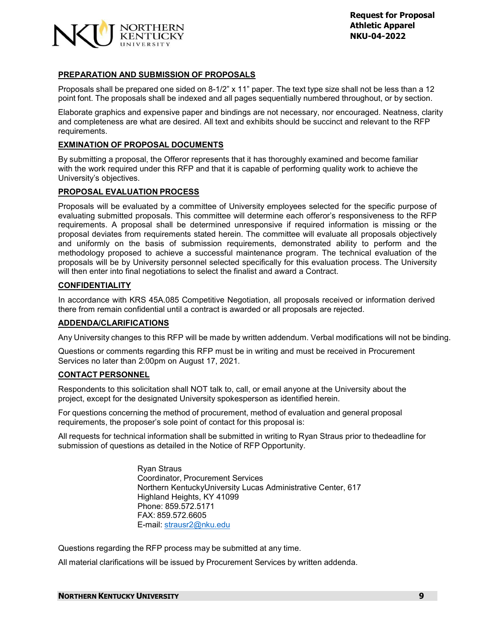

# **PREPARATION AND SUBMISSION OF PROPOSALS**

Proposals shall be prepared one sided on 8-1/2" x 11" paper. The text type size shall not be less than a 12 point font. The proposals shall be indexed and all pages sequentially numbered throughout, or by section.

Elaborate graphics and expensive paper and bindings are not necessary, nor encouraged. Neatness, clarity and completeness are what are desired. All text and exhibits should be succinct and relevant to the RFP requirements.

#### **EXMINATION OF PROPOSAL DOCUMENTS**

By submitting a proposal, the Offeror represents that it has thoroughly examined and become familiar with the work required under this RFP and that it is capable of performing quality work to achieve the University's objectives.

#### **PROPOSAL EVALUATION PROCESS**

Proposals will be evaluated by a committee of University employees selected for the specific purpose of evaluating submitted proposals. This committee will determine each offeror's responsiveness to the RFP requirements. A proposal shall be determined unresponsive if required information is missing or the proposal deviates from requirements stated herein. The committee will evaluate all proposals objectively and uniformly on the basis of submission requirements, demonstrated ability to perform and the methodology proposed to achieve a successful maintenance program. The technical evaluation of the proposals will be by University personnel selected specifically for this evaluation process. The University will then enter into final negotiations to select the finalist and award a Contract.

#### **CONFIDENTIALITY**

In accordance with KRS 45A.085 Competitive Negotiation, all proposals received or information derived there from remain confidential until a contract is awarded or all proposals are rejected.

#### **ADDENDA/CLARIFICATIONS**

Any University changes to this RFP will be made by written addendum. Verbal modifications will not be binding.

Questions or comments regarding this RFP must be in writing and must be received in Procurement Services no later than 2:00pm on August 17, 2021.

#### **CONTACT PERSONNEL**

Respondents to this solicitation shall NOT talk to, call, or email anyone at the University about the project, except for the designated University spokesperson as identified herein.

For questions concerning the method of procurement, method of evaluation and general proposal requirements, the proposer's sole point of contact for this proposal is:

All requests for technical information shall be submitted in writing to Ryan Straus prior to thedeadline for submission of questions as detailed in the Notice of RFP Opportunity.

> Ryan Straus Coordinator, Procurement Services Northern KentuckyUniversity Lucas Administrative Center, 617 Highland Heights, KY 41099 Phone: 859.572.5171 FAX: 859.572.6605 E-mail: [strausr2@nku.edu](mailto:strausr2@nku.edu)

Questions regarding the RFP process may be submitted at any time.

All material clarifications will be issued by Procurement Services by written addenda.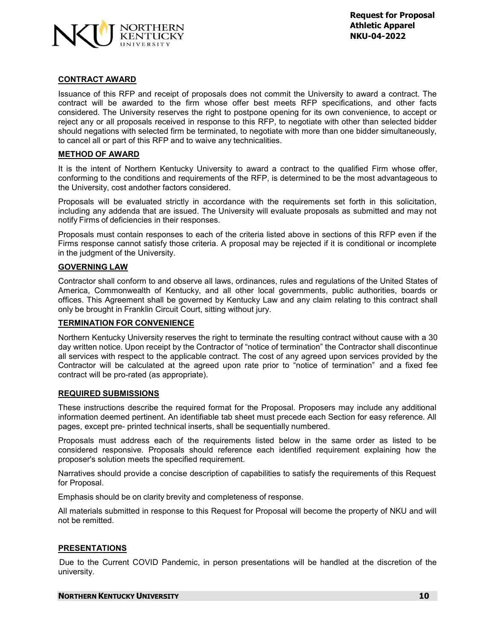

# **CONTRACT AWARD**

Issuance of this RFP and receipt of proposals does not commit the University to award a contract. The contract will be awarded to the firm whose offer best meets RFP specifications, and other facts considered. The University reserves the right to postpone opening for its own convenience, to accept or reject any or all proposals received in response to this RFP, to negotiate with other than selected bidder should negations with selected firm be terminated, to negotiate with more than one bidder simultaneously, to cancel all or part of this RFP and to waive any technicalities.

#### **METHOD OF AWARD**

It is the intent of Northern Kentucky University to award a contract to the qualified Firm whose offer, conforming to the conditions and requirements of the RFP, is determined to be the most advantageous to the University, cost andother factors considered.

Proposals will be evaluated strictly in accordance with the requirements set forth in this solicitation, including any addenda that are issued. The University will evaluate proposals as submitted and may not notify Firms of deficiencies in their responses.

Proposals must contain responses to each of the criteria listed above in sections of this RFP even if the Firms response cannot satisfy those criteria. A proposal may be rejected if it is conditional or incomplete in the judgment of the University.

#### **GOVERNING LAW**

Contractor shall conform to and observe all laws, ordinances, rules and regulations of the United States of America, Commonwealth of Kentucky, and all other local governments, public authorities, boards or offices. This Agreement shall be governed by Kentucky Law and any claim relating to this contract shall only be brought in Franklin Circuit Court, sitting without jury.

#### **TERMINATION FOR CONVENIENCE**

Northern Kentucky University reserves the right to terminate the resulting contract without cause with a 30 day written notice. Upon receipt by the Contractor of "notice of termination" the Contractor shall discontinue all services with respect to the applicable contract. The cost of any agreed upon services provided by the Contractor will be calculated at the agreed upon rate prior to "notice of termination" and a fixed fee contract will be pro-rated (as appropriate).

#### **REQUIRED SUBMISSIONS**

These instructions describe the required format for the Proposal. Proposers may include any additional information deemed pertinent. An identifiable tab sheet must precede each Section for easy reference. All pages, except pre- printed technical inserts, shall be sequentially numbered.

Proposals must address each of the requirements listed below in the same order as listed to be considered responsive. Proposals should reference each identified requirement explaining how the proposer's solution meets the specified requirement.

Narratives should provide a concise description of capabilities to satisfy the requirements of this Request for Proposal.

Emphasis should be on clarity brevity and completeness of response.

All materials submitted in response to this Request for Proposal will become the property of NKU and will not be remitted.

#### **PRESENTATIONS**

Due to the Current COVID Pandemic, in person presentations will be handled at the discretion of the university.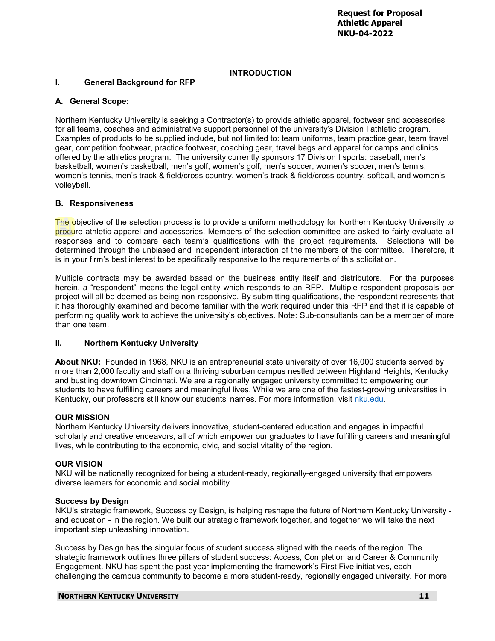# **INTRODUCTION**

# **I. General Background for RFP**

# **A. General Scope:**

Northern Kentucky University is seeking a Contractor(s) to provide athletic apparel, footwear and accessories for all teams, coaches and administrative support personnel of the university's Division I athletic program. Examples of products to be supplied include, but not limited to: team uniforms, team practice gear, team travel gear, competition footwear, practice footwear, coaching gear, travel bags and apparel for camps and clinics offered by the athletics program. The university currently sponsors 17 Division I sports: baseball, men's basketball, women's basketball, men's golf, women's golf, men's soccer, women's soccer, men's tennis, women's tennis, men's track & field/cross country, women's track & field/cross country, softball, and women's volleyball.

# **B. Responsiveness**

The objective of the selection process is to provide a uniform methodology for Northern Kentucky University to procure athletic apparel and accessories. Members of the selection committee are asked to fairly evaluate all responses and to compare each team's qualifications with the project requirements. Selections will be determined through the unbiased and independent interaction of the members of the committee. Therefore, it is in your firm's best interest to be specifically responsive to the requirements of this solicitation.

Multiple contracts may be awarded based on the business entity itself and distributors. For the purposes herein, a "respondent" means the legal entity which responds to an RFP. Multiple respondent proposals per project will all be deemed as being non-responsive. By submitting qualifications, the respondent represents that it has thoroughly examined and become familiar with the work required under this RFP and that it is capable of performing quality work to achieve the university's objectives. Note: Sub-consultants can be a member of more than one team.

# **II. Northern Kentucky University**

**About NKU:** Founded in 1968, NKU is an entrepreneurial state university of over 16,000 students served by more than 2,000 faculty and staff on a thriving suburban campus nestled between Highland Heights, Kentucky and bustling downtown Cincinnati. We are a regionally engaged university committed to empowering our students to have fulfilling careers and meaningful lives. While we are one of the fastest-growing universities in Kentucky, our professors still know our students' names. For more information, visit [nku.edu.](https://www.nku.edu/)

# **OUR MISSION**

Northern Kentucky University delivers innovative, student-centered education and engages in impactful scholarly and creative endeavors, all of which empower our graduates to have fulfilling careers and meaningful lives, while contributing to the economic, civic, and social vitality of the region.

# **OUR VISION**

NKU will be nationally recognized for being a student-ready, regionally-engaged university that empowers diverse learners for economic and social mobility.

# **Success by Design**

NKU's strategic framework, Success by Design, is helping reshape the future of Northern Kentucky University and education - in the region. We built our strategic framework together, and together we will take the next important step unleashing innovation.

Success by Design has the singular focus of student success aligned with the needs of the region. The strategic framework outlines three pillars of student success: Access, Completion and Career & Community Engagement. NKU has spent the past year implementing the framework's First Five initiatives, each challenging the campus community to become a more student-ready, regionally engaged university. For more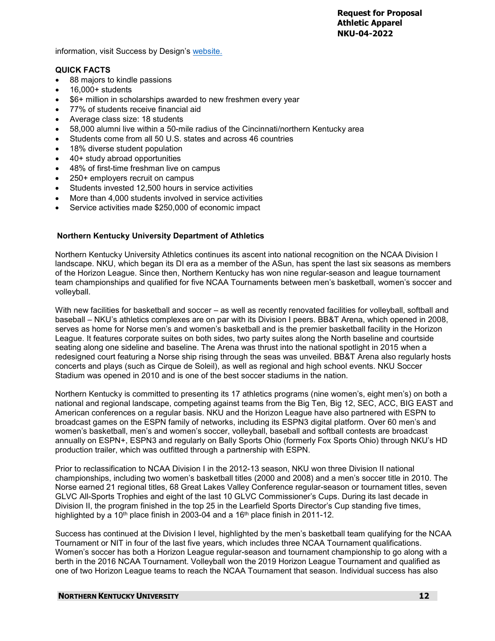information, visit Success by Design's [website.](https://www.nku.edu/successbydesign.html)

#### **QUICK FACTS**

- 88 majors to kindle passions
- $16.000+$  students
- \$6+ million in scholarships awarded to new freshmen every year
- 77% of students receive financial aid
- Average class size: 18 students
- 58,000 alumni live within a 50-mile radius of the Cincinnati/northern Kentucky area
- Students come from all 50 U.S. states and across 46 countries
- 18% diverse student population
- 40+ study abroad opportunities
- 48% of first-time freshman live on campus
- 250+ employers recruit on campus
- Students invested 12,500 hours in service activities
- More than 4,000 students involved in service activities
- Service activities made \$250,000 of economic impact

# **Northern Kentucky University Department of Athletics**

Northern Kentucky University Athletics continues its ascent into national recognition on the NCAA Division I landscape. NKU, which began its DI era as a member of the ASun, has spent the last six seasons as members of the Horizon League. Since then, Northern Kentucky has won nine regular-season and league tournament team championships and qualified for five NCAA Tournaments between men's basketball, women's soccer and volleyball.

With new facilities for basketball and soccer – as well as recently renovated facilities for volleyball, softball and baseball – NKU's athletics complexes are on par with its Division I peers. BB&T Arena, which opened in 2008, serves as home for Norse men's and women's basketball and is the premier basketball facility in the Horizon League. It features corporate suites on both sides, two party suites along the North baseline and courtside seating along one sideline and baseline. The Arena was thrust into the national spotlight in 2015 when a redesigned court featuring a Norse ship rising through the seas was unveiled. BB&T Arena also regularly hosts concerts and plays (such as Cirque de Soleil), as well as regional and high school events. NKU Soccer Stadium was opened in 2010 and is one of the best soccer stadiums in the nation.

Northern Kentucky is committed to presenting its 17 athletics programs (nine women's, eight men's) on both a national and regional landscape, competing against teams from the Big Ten, Big 12, SEC, ACC, BIG EAST and American conferences on a regular basis. NKU and the Horizon League have also partnered with ESPN to broadcast games on the ESPN family of networks, including its ESPN3 digital platform. Over 60 men's and women's basketball, men's and women's soccer, volleyball, baseball and softball contests are broadcast annually on ESPN+, ESPN3 and regularly on Bally Sports Ohio (formerly Fox Sports Ohio) through NKU's HD production trailer, which was outfitted through a partnership with ESPN.

Prior to reclassification to NCAA Division I in the 2012-13 season, NKU won three Division II national championships, including two women's basketball titles (2000 and 2008) and a men's soccer title in 2010. The Norse earned 21 regional titles, 68 Great Lakes Valley Conference regular-season or tournament titles, seven GLVC All-Sports Trophies and eight of the last 10 GLVC Commissioner's Cups. During its last decade in Division II, the program finished in the top 25 in the Learfield Sports Director's Cup standing five times, highlighted by a 10<sup>th</sup> place finish in 2003-04 and a 16<sup>th</sup> place finish in 2011-12.

Success has continued at the Division I level, highlighted by the men's basketball team qualifying for the NCAA Tournament or NIT in four of the last five years, which includes three NCAA Tournament qualifications. Women's soccer has both a Horizon League regular-season and tournament championship to go along with a berth in the 2016 NCAA Tournament. Volleyball won the 2019 Horizon League Tournament and qualified as one of two Horizon League teams to reach the NCAA Tournament that season. Individual success has also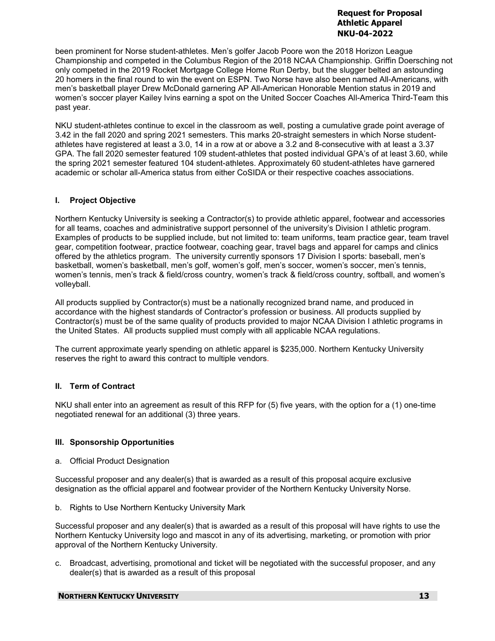been prominent for Norse student-athletes. Men's golfer Jacob Poore won the 2018 Horizon League Championship and competed in the Columbus Region of the 2018 NCAA Championship. Griffin Doersching not only competed in the 2019 Rocket Mortgage College Home Run Derby, but the slugger belted an astounding 20 homers in the final round to win the event on ESPN. Two Norse have also been named All-Americans, with men's basketball player Drew McDonald garnering AP All-American Honorable Mention status in 2019 and women's soccer player Kailey Ivins earning a spot on the United Soccer Coaches All-America Third-Team this past year.

NKU student-athletes continue to excel in the classroom as well, posting a cumulative grade point average of 3.42 in the fall 2020 and spring 2021 semesters. This marks 20-straight semesters in which Norse studentathletes have registered at least a 3.0, 14 in a row at or above a 3.2 and 8-consecutive with at least a 3.37 GPA. The fall 2020 semester featured 109 student-athletes that posted individual GPA's of at least 3.60, while the spring 2021 semester featured 104 student-athletes. Approximately 60 student-athletes have garnered academic or scholar all-America status from either CoSIDA or their respective coaches associations.

# **I. Project Objective**

Northern Kentucky University is seeking a Contractor(s) to provide athletic apparel, footwear and accessories for all teams, coaches and administrative support personnel of the university's Division I athletic program. Examples of products to be supplied include, but not limited to: team uniforms, team practice gear, team travel gear, competition footwear, practice footwear, coaching gear, travel bags and apparel for camps and clinics offered by the athletics program. The university currently sponsors 17 Division I sports: baseball, men's basketball, women's basketball, men's golf, women's golf, men's soccer, women's soccer, men's tennis, women's tennis, men's track & field/cross country, women's track & field/cross country, softball, and women's volleyball.

All products supplied by Contractor(s) must be a nationally recognized brand name, and produced in accordance with the highest standards of Contractor's profession or business. All products supplied by Contractor(s) must be of the same quality of products provided to major NCAA Division I athletic programs in the United States. All products supplied must comply with all applicable NCAA regulations.

The current approximate yearly spending on athletic apparel is \$235,000. Northern Kentucky University reserves the right to award this contract to multiple vendors.

# **II. Term of Contract**

NKU shall enter into an agreement as result of this RFP for (5) five years, with the option for a (1) one-time negotiated renewal for an additional (3) three years.

# **III. Sponsorship Opportunities**

a. Official Product Designation

Successful proposer and any dealer(s) that is awarded as a result of this proposal acquire exclusive designation as the official apparel and footwear provider of the Northern Kentucky University Norse.

b. Rights to Use Northern Kentucky University Mark

Successful proposer and any dealer(s) that is awarded as a result of this proposal will have rights to use the Northern Kentucky University logo and mascot in any of its advertising, marketing, or promotion with prior approval of the Northern Kentucky University.

c. Broadcast, advertising, promotional and ticket will be negotiated with the successful proposer, and any dealer(s) that is awarded as a result of this proposal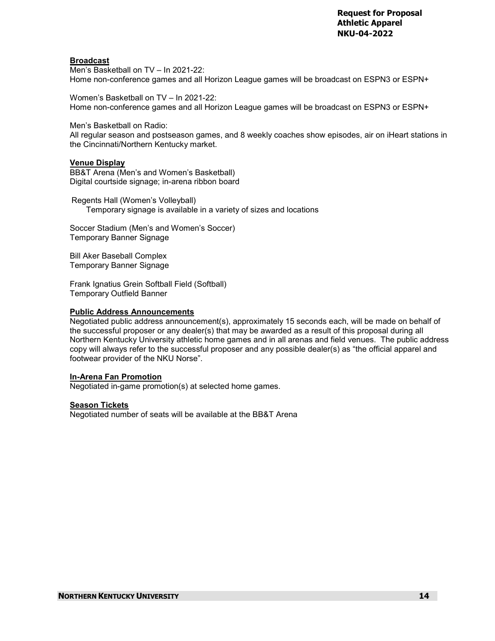# **Broadcast**

Men's Basketball on TV – In 2021-22: Home non-conference games and all Horizon League games will be broadcast on ESPN3 or ESPN+

Women's Basketball on TV – In 2021-22: Home non-conference games and all Horizon League games will be broadcast on ESPN3 or ESPN+

Men's Basketball on Radio:

All regular season and postseason games, and 8 weekly coaches show episodes, air on iHeart stations in the Cincinnati/Northern Kentucky market.

#### **Venue Display**

BB&T Arena (Men's and Women's Basketball) Digital courtside signage; in-arena ribbon board

Regents Hall (Women's Volleyball) Temporary signage is available in a variety of sizes and locations

Soccer Stadium (Men's and Women's Soccer) Temporary Banner Signage

Bill Aker Baseball Complex Temporary Banner Signage

Frank Ignatius Grein Softball Field (Softball) Temporary Outfield Banner

#### **Public Address Announcements**

Negotiated public address announcement(s), approximately 15 seconds each, will be made on behalf of the successful proposer or any dealer(s) that may be awarded as a result of this proposal during all Northern Kentucky University athletic home games and in all arenas and field venues. The public address copy will always refer to the successful proposer and any possible dealer(s) as "the official apparel and footwear provider of the NKU Norse".

#### **In-Arena Fan Promotion**

Negotiated in-game promotion(s) at selected home games.

#### **Season Tickets**

Negotiated number of seats will be available at the BB&T Arena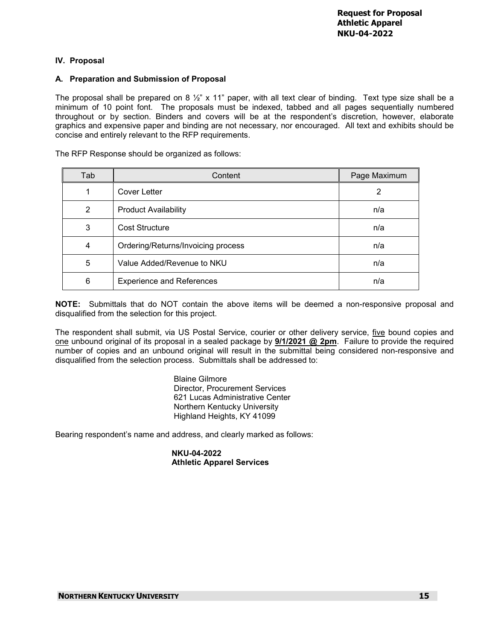# **IV. Proposal**

# **A. Preparation and Submission of Proposal**

The proposal shall be prepared on 8  $\frac{1}{2}$ " x 11" paper, with all text clear of binding. Text type size shall be a minimum of 10 point font. The proposals must be indexed, tabbed and all pages sequentially numbered throughout or by section. Binders and covers will be at the respondent's discretion, however, elaborate graphics and expensive paper and binding are not necessary, nor encouraged. All text and exhibits should be concise and entirely relevant to the RFP requirements.

The RFP Response should be organized as follows:

| Tab | Content                            | Page Maximum |
|-----|------------------------------------|--------------|
|     | Cover Letter                       | 2            |
| 2   | <b>Product Availability</b>        | n/a          |
| 3   | <b>Cost Structure</b>              | n/a          |
| 4   | Ordering/Returns/Invoicing process | n/a          |
| 5   | Value Added/Revenue to NKU         | n/a          |
| 6   | <b>Experience and References</b>   | n/a          |

**NOTE:** Submittals that do NOT contain the above items will be deemed a non-responsive proposal and disqualified from the selection for this project.

The respondent shall submit, via US Postal Service, courier or other delivery service, five bound copies and one unbound original of its proposal in a sealed package by **9/1/2021 @ 2pm**. Failure to provide the required number of copies and an unbound original will result in the submittal being considered non-responsive and disqualified from the selection process. Submittals shall be addressed to:

> Blaine Gilmore Director, Procurement Services 621 Lucas Administrative Center Northern Kentucky University Highland Heights, KY 41099

Bearing respondent's name and address, and clearly marked as follows:

**NKU-04-2022 Athletic Apparel Services**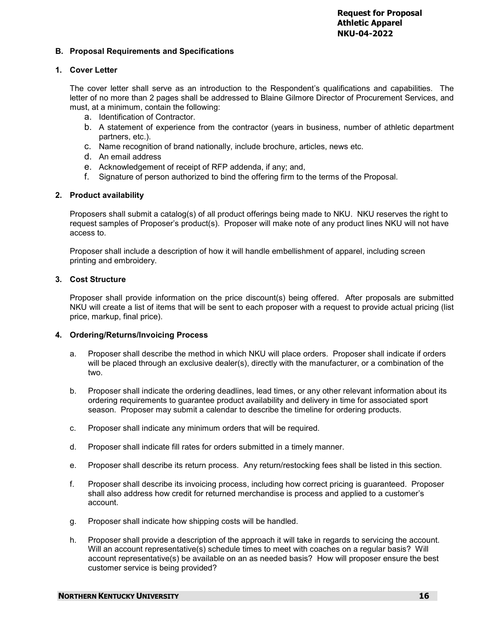# **B. Proposal Requirements and Specifications**

# **1. Cover Letter**

The cover letter shall serve as an introduction to the Respondent's qualifications and capabilities. The letter of no more than 2 pages shall be addressed to Blaine Gilmore Director of Procurement Services, and must, at a minimum, contain the following:

- a. Identification of Contractor.
- b. A statement of experience from the contractor (years in business, number of athletic department partners, etc.).
- c. Name recognition of brand nationally, include brochure, articles, news etc.
- d. An email address
- e. Acknowledgement of receipt of RFP addenda, if any; and,
- f. Signature of person authorized to bind the offering firm to the terms of the Proposal.

# **2. Product availability**

Proposers shall submit a catalog(s) of all product offerings being made to NKU. NKU reserves the right to request samples of Proposer's product(s). Proposer will make note of any product lines NKU will not have access to.

Proposer shall include a description of how it will handle embellishment of apparel, including screen printing and embroidery.

# **3. Cost Structure**

Proposer shall provide information on the price discount(s) being offered. After proposals are submitted NKU will create a list of items that will be sent to each proposer with a request to provide actual pricing (list price, markup, final price).

#### **4. Ordering/Returns/Invoicing Process**

- a. Proposer shall describe the method in which NKU will place orders. Proposer shall indicate if orders will be placed through an exclusive dealer(s), directly with the manufacturer, or a combination of the two.
- b. Proposer shall indicate the ordering deadlines, lead times, or any other relevant information about its ordering requirements to guarantee product availability and delivery in time for associated sport season. Proposer may submit a calendar to describe the timeline for ordering products.
- c. Proposer shall indicate any minimum orders that will be required.
- d. Proposer shall indicate fill rates for orders submitted in a timely manner.
- e. Proposer shall describe its return process. Any return/restocking fees shall be listed in this section.
- f. Proposer shall describe its invoicing process, including how correct pricing is guaranteed. Proposer shall also address how credit for returned merchandise is process and applied to a customer's account.
- g. Proposer shall indicate how shipping costs will be handled.
- h. Proposer shall provide a description of the approach it will take in regards to servicing the account. Will an account representative(s) schedule times to meet with coaches on a regular basis? Will account representative(s) be available on an as needed basis? How will proposer ensure the best customer service is being provided?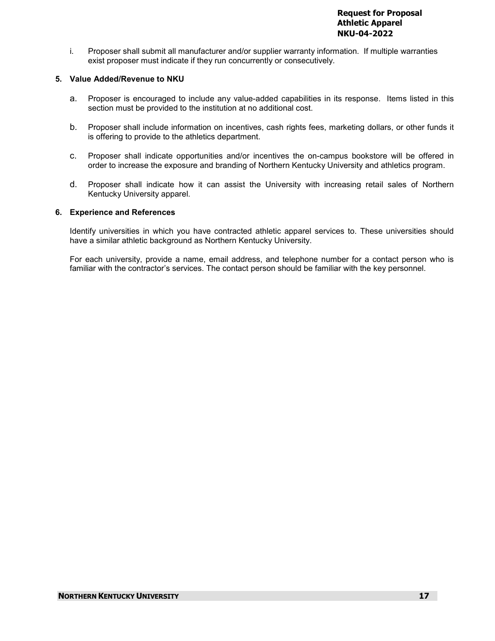i. Proposer shall submit all manufacturer and/or supplier warranty information. If multiple warranties exist proposer must indicate if they run concurrently or consecutively.

# **5. Value Added/Revenue to NKU**

- a. Proposer is encouraged to include any value-added capabilities in its response. Items listed in this section must be provided to the institution at no additional cost.
- b. Proposer shall include information on incentives, cash rights fees, marketing dollars, or other funds it is offering to provide to the athletics department.
- c. Proposer shall indicate opportunities and/or incentives the on-campus bookstore will be offered in order to increase the exposure and branding of Northern Kentucky University and athletics program.
- d. Proposer shall indicate how it can assist the University with increasing retail sales of Northern Kentucky University apparel.

# **6. Experience and References**

Identify universities in which you have contracted athletic apparel services to. These universities should have a similar athletic background as Northern Kentucky University.

For each university, provide a name, email address, and telephone number for a contact person who is familiar with the contractor's services. The contact person should be familiar with the key personnel.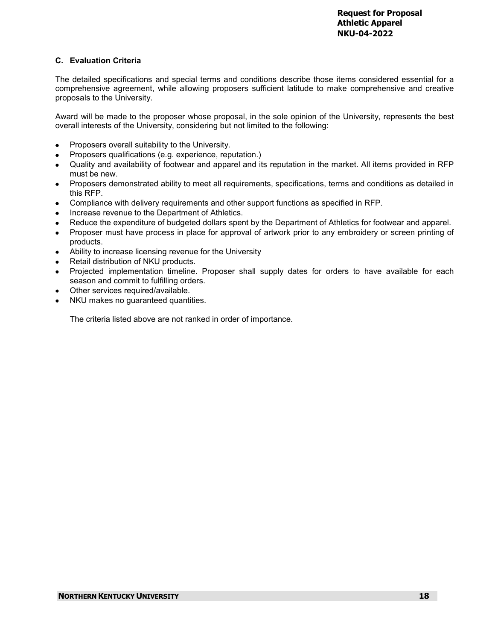# **C. Evaluation Criteria**

The detailed specifications and special terms and conditions describe those items considered essential for a comprehensive agreement, while allowing proposers sufficient latitude to make comprehensive and creative proposals to the University.

Award will be made to the proposer whose proposal, in the sole opinion of the University, represents the best overall interests of the University, considering but not limited to the following:

- Proposers overall suitability to the University.
- Proposers qualifications (e.g. experience, reputation.)
- Quality and availability of footwear and apparel and its reputation in the market. All items provided in RFP must be new.
- Proposers demonstrated ability to meet all requirements, specifications, terms and conditions as detailed in this RFP.
- Compliance with delivery requirements and other support functions as specified in RFP.
- Increase revenue to the Department of Athletics.
- Reduce the expenditure of budgeted dollars spent by the Department of Athletics for footwear and apparel.
- Proposer must have process in place for approval of artwork prior to any embroidery or screen printing of products.
- Ability to increase licensing revenue for the University
- Retail distribution of NKU products.
- Projected implementation timeline. Proposer shall supply dates for orders to have available for each season and commit to fulfilling orders.
- Other services required/available.
- NKU makes no guaranteed quantities.

The criteria listed above are not ranked in order of importance.